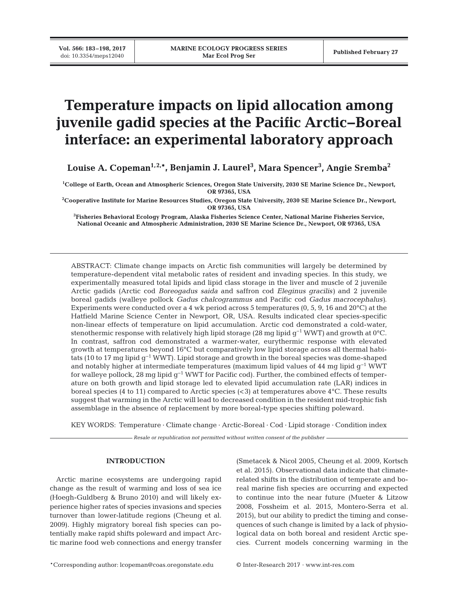# **Temperature impacts on lipid allocation among juvenile gadid species at the Pacific Arctic−Boreal interface: an experimental laboratory approach**

**Louise A. Copeman1,2,\*, Benjamin J. Laurel3 , Mara Spencer3 , Angie Sremba2**

**1 College of Earth, Ocean and Atmospheric Sciences, Oregon State University, 2030 SE Marine Science Dr., Newport, OR 97365, USA**

**2 Cooperative Institute for Marine Resources Studies, Oregon State University, 2030 SE Marine Science Dr., Newport, OR 97365, USA**

**3 Fisheries Behavioral Ecology Program, Alaska Fisheries Science Center, National Marine Fisheries Service, National Oceanic and Atmospheric Administration, 2030 SE Marine Science Dr., Newport, OR 97365, USA**

ABSTRACT: Climate change impacts on Arctic fish communities will largely be determined by temperature-dependent vital metabolic rates of resident and invading species. In this study, we experimentally measured total lipids and lipid class storage in the liver and muscle of 2 juvenile Arctic gadids (Arctic cod *Boreogadus saida* and saffron cod *Eleginus gracilis)* and 2 juvenile boreal gadids (walleye pollock *Gadus chalcogrammus* and Pacific cod *Gadus macrocephalus)*. Experiments were conducted over a 4 wk period across 5 temperatures (0, 5, 9, 16 and 20°C) at the Hatfield Marine Science Center in Newport, OR, USA. Results indicated clear species-specific non-linear effects of temperature on lipid accumulation. Arctic cod demonstrated a cold-water, stenothermic response with relatively high lipid storage (28 mg lipid  $q^{-1}$  WWT) and growth at 0°C. In contrast, saffron cod demonstrated a warmer-water, eurythermic response with elevated growth at temperatures beyond 16°C but comparatively low lipid storage across all thermal habitats (10 to 17 mg lipid g−1 WWT). Lipid storage and growth in the boreal species was dome-shaped and notably higher at intermediate temperatures (maximum lipid values of 44 mg lipid  $g^{-1}$  WWT for walleye pollock, 28 mg lipid g−1 WWT for Pacific cod). Further, the combined effects of temperature on both growth and lipid storage led to elevated lipid accumulation rate (LAR) indices in boreal species (4 to 11) compared to Arctic species ( $\lt 3$ ) at temperatures above 4 $\degree$ C. These results suggest that warming in the Arctic will lead to decreased condition in the resident mid-trophic fish assemblage in the absence of replacement by more boreal-type species shifting poleward.

KEY WORDS: Temperature · Climate change · Arctic-Boreal · Cod · Lipid storage · Condition index

*Resale or republication not permitted without written consent of the publisher*

# **INTRODUCTION**

Arctic marine ecosystems are undergoing rapid change as the result of warming and loss of sea ice (Hoegh-Guldberg & Bruno 2010) and will likely experience higher rates of species invasions and species turnover than lower-latitude regions (Cheung et al. 2009). Highly migratory boreal fish species can potentially make rapid shifts poleward and impact Arc tic marine food web connections and energy transfer (Smetacek & Nicol 2005, Cheung et al. 2009, Kortsch et al. 2015). Observational data indicate that climaterelated shifts in the distribution of temperate and boreal marine fish species are occurring and expected to continue into the near future (Mueter & Litzow 2008, Fossheim et al. 2015, Montero-Serra et al. 2015), but our ability to predict the timing and consequences of such change is limited by a lack of physiological data on both boreal and resident Arctic species. Current models concerning warming in the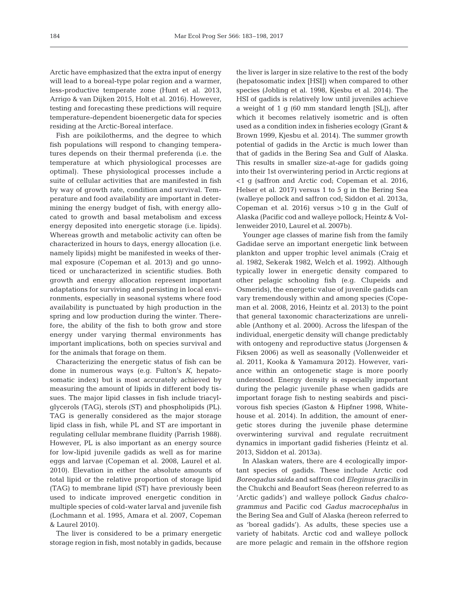Arctic have emphasized that the extra input of energy will lead to a boreal-type polar region and a warmer, less-productive temperate zone (Hunt et al. 2013, Arrigo & van Dijken 2015, Holt et al. 2016). However, testing and forecasting these predictions will require temperature-dependent bioenergetic data for species residing at the Arctic-Boreal interface.

Fish are poikilotherms, and the degree to which fish populations will respond to changing temperatures depends on their thermal preferenda (i.e. the temperature at which physiological processes are optimal). These physiological processes include a suite of cellular activities that are manifested in fish by way of growth rate, condition and survival. Temperature and food availability are important in determining the energy budget of fish, with energy allocated to growth and basal metabolism and excess energy deposited into energetic storage (i.e. lipids). Whereas growth and metabolic activity can often be characterized in hours to days, energy allocation (i.e. namely lipids) might be manifested in weeks of thermal exposure (Copeman et al. 2013) and go unnoticed or uncharacterized in scientific studies. Both growth and energy allocation represent important adaptations for surviving and persisting in local environments, especially in seasonal systems where food availability is punctuated by high production in the spring and low production during the winter. Therefore, the ability of the fish to both grow and store energy under varying thermal environments has important implications, both on species survival and for the animals that forage on them.

Characterizing the energetic status of fish can be done in numerous ways (e.g. Fulton's K, hepatosomatic index) but is most accurately achieved by measuring the amount of lipids in different body tissues. The major lipid classes in fish include triacylglycerols (TAG), sterols (ST) and phospholipids (PL). TAG is generally considered as the major storage lipid class in fish, while PL and ST are important in regulating cellular membrane fluidity (Parrish 1988). However, PL is also important as an energy source for low-lipid juvenile gadids as well as for marine eggs and larvae (Copeman et al. 2008, Laurel et al. 2010). Elevation in either the absolute amounts of total lipid or the relative proportion of storage lipid (TAG) to membrane lipid (ST) have previously been used to indicate improved energetic condition in multiple species of cold-water larval and juvenile fish (Lochmann et al. 1995, Amara et al. 2007, Copeman & Laurel 2010).

The liver is considered to be a primary energetic storage region in fish, most notably in gadids, because

the liver is larger in size relative to the rest of the body (hepatosomatic index [HSI]) when compared to other species (Jobling et al. 1998, Kjesbu et al. 2014). The HSI of gadids is relatively low until juveniles achieve a weight of 1 g (60 mm standard length [SL]), after which it becomes relatively isometric and is often used as a condition index in fisheries ecology (Grant & Brown 1999, Kjesbu et al. 2014). The summer growth potential of gadids in the Arctic is much lower than that of gadids in the Bering Sea and Gulf of Alaska. This results in smaller size-at-age for gadids going into their 1st overwintering period in Arctic regions at  $\langle 1 \rangle$  g (saffron and Arctic cod; Copeman et al. 2016, Helser et al. 2017) versus 1 to 5 g in the Bering Sea (walleye pollock and saffron cod; Siddon et al. 2013a, Copeman et al. 2016) versus >10 g in the Gulf of Alaska (Pacific cod and walleye pollock; Heintz & Vollenweider 2010, Laurel et al. 2007b).

Younger age classes of marine fish from the family Gadidae serve an important energetic link between plankton and upper trophic level animals (Craig et al. 1982, Sekerak 1982, Welch et al. 1992). Although typically lower in energetic density compared to other pelagic schooling fish (e.g. Clupeids and Osmerids), the energetic value of juvenile gadids can vary tremendously within and among species (Copeman et al. 2008, 2016, Heintz et al. 2013) to the point that general taxonomic characterizations are unreliable (Anthony et al. 2000). Across the lifespan of the individual, energetic density will change predictably with ontogeny and reproductive status (Jorgensen & Fiksen 2006) as well as seasonally (Vollenweider et al. 2011, Kooka & Yamamura 2012). However, variance within an ontogenetic stage is more poorly understood. Energy density is especially important during the pelagic juvenile phase when gadids are important forage fish to nesting seabirds and piscivorous fish species (Gaston & Hipfner 1998, Whitehouse et al. 2014). In addition, the amount of energetic stores during the juvenile phase determine overwintering survival and regulate recruitment dynamics in important gadid fisheries (Heintz et al. 2013, Siddon et al. 2013a).

In Alaskan waters, there are 4 ecologically important species of gadids. These include Arctic cod *Boreo gadus saida* and saffron cod *Eleginus gracilis* in the Chukchi and Beaufort Seas (hereon referred to as 'Arctic gadids') and walleye pollock *Gadus chalco grammus* and Pacific cod *Gadus macrocephalus* in the Bering Sea and Gulf of Alaska (hereon referred to as 'boreal gadids'). As adults, these species use a variety of habitats. Arctic cod and walleye pollock are more pelagic and remain in the offshore region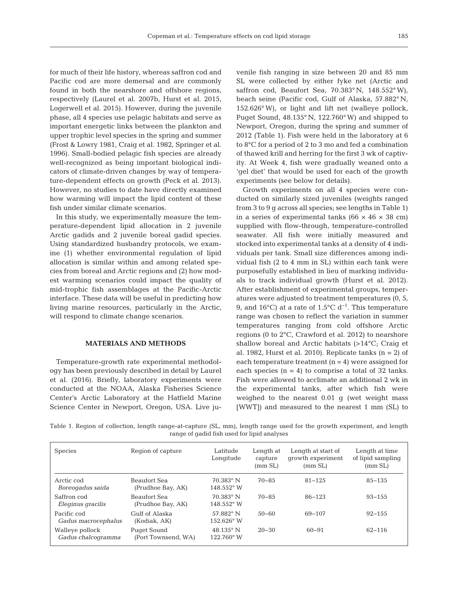for much of their life history, whereas saffron cod and Pacific cod are more demersal and are commonly found in both the nearshore and offshore regions, respectively (Laurel et al. 2007b, Hurst et al. 2015, Logerwell et al. 2015). However, during the juvenile phase, all 4 species use pelagic habitats and serve as important energetic links between the plankton and upper trophic level species in the spring and summer (Frost & Lowry 1981, Craig et al. 1982, Springer et al. 1996). Small-bodied pelagic fish species are already well-recognized as being important biological indicators of climate-driven changes by way of temperature-dependent effects on growth (Peck et al. 2013). However, no studies to date have directly examined how warming will impact the lipid content of these fish under similar climate scenarios.

In this study, we experimentally measure the temperature-dependent lipid allocation in 2 juvenile Arctic gadids and 2 juvenile boreal gadid species. Using standardized husbandry protocols, we examine (1) whether environmental regulation of lipid allocation is similar within and among related species from boreal and Arctic regions and (2) how modest warming scenarios could impact the quality of mid-trophic fish assemblages at the Pacific-Arctic interface. These data will be useful in predicting how living marine resources, particularly in the Arctic, will respond to climate change scenarios.

# **MATERIALS AND METHODS**

Temperature-growth rate experimental methodology has been previously described in detail by Laurel et al. (2016). Briefly, laboratory experiments were conducted at the NOAA, Alaska Fisheries Science Center's Arctic Laboratory at the Hatfield Marine Science Center in Newport, Oregon, USA. Live ju-

venile fish ranging in size between 20 and 85 mm SL were collected by either fyke net (Arctic and saffron cod, Beaufort Sea, 70.383° N, 148.552° W), beach seine (Pacific cod, Gulf of Alaska, 57.882° N, 152.626° W), or light and lift net (walleye pollock, Puget Sound, 48.135° N, 122.760° W) and shipped to Newport, Oregon, during the spring and summer of 2012 (Table 1). Fish were held in the laboratory at 6 to 8°C for a period of 2 to 3 mo and fed a combination of thawed krill and herring for the first 3 wk of captivity. At Week 4, fish were gradually weaned onto a 'gel diet' that would be used for each of the growth experiments (see below for details).

Growth experiments on all 4 species were conducted on similarly sized juveniles (weights ranged from 3 to 9 g across all species; see lengths in Table 1) in a series of experimental tanks ( $66 \times 46 \times 38$  cm) supplied with flow-through, temperature-controlled seawater. All fish were initially measured and stocked into experimental tanks at a density of 4 individuals per tank. Small size differences among individual fish (2 to 4 mm in SL) within each tank were purposefully established in lieu of marking individuals to track individual growth (Hurst et al. 2012). After establishment of experimental groups, temperatures were adjusted to treatment temperatures (0, 5, 9, and 16°C) at a rate of 1.5°C d<sup>-1</sup>. This temperature range was chosen to reflect the variation in summer temperatures ranging from cold offshore Arctic regions (0 to 2°C, Crawford et al. 2012) to nearshore shallow boreal and Arctic habitats (>14°C; Craig et al. 1982, Hurst et al. 2010). Replicate tanks  $(n = 2)$  of each temperature treatment  $(n = 4)$  were assigned for each species  $(n = 4)$  to comprise a total of 32 tanks. Fish were allowed to acclimate an additional 2 wk in the experimental tanks, after which fish were weighed to the nearest 0.01 g (wet weight mass [WWT]) and measured to the nearest 1 mm (SL) to

Table 1. Region of collection, length range-at-capture (SL, mm), length range used for the growth experiment, and length range of gadid fish used for lipid analyses

| <b>Species</b>                        | Region of capture                        | Latitude<br>Longitude                     | Length at<br>capture<br>(mm SL) | Length at start of<br>growth experiment<br>(mm SL) | Length at time<br>of lipid sampling<br>(mm SL) |
|---------------------------------------|------------------------------------------|-------------------------------------------|---------------------------------|----------------------------------------------------|------------------------------------------------|
| Arctic cod<br>Boreogadus saida        | <b>Beaufort Sea</b><br>(Prudhoe Bay, AK) | $70.383$ ° N<br>148.552° W                | $70 - 85$                       | $81 - 125$                                         | $85 - 135$                                     |
| Saffron cod<br>Eleginus gracilis      | Beaufort Sea<br>(Prudhoe Bay, AK)        | $70.383$ ° N<br>148.552° W                | $70 - 85$                       | $86 - 123$                                         | $93 - 155$                                     |
| Pacific cod<br>Gadus macrocephalus    | Gulf of Alaska<br>(Kodiak, AK)           | $57.882$ ° N<br>$152.626^{\circ}$ W       | $50 - 60$                       | 69-107                                             | $92 - 155$                                     |
| Walleye pollock<br>Gadus chalcogramma | Puget Sound<br>(Port Townsend, WA)       | $48.135^{\circ}$ N<br>$122.760^{\circ}$ W | $20 - 30$                       | $60 - 91$                                          | $62 - 116$                                     |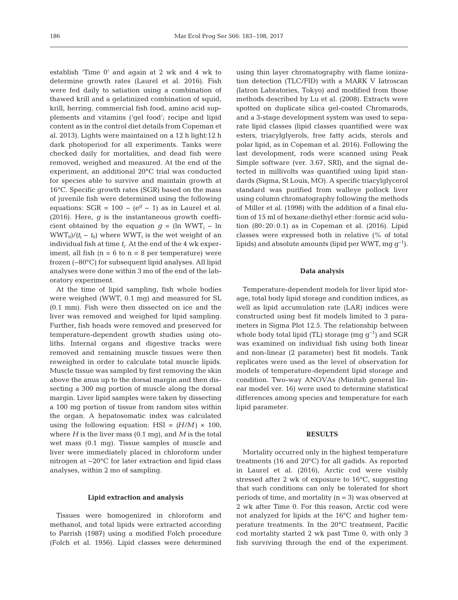establish 'Time 0' and again at 2 wk and 4 wk to determine growth rates (Laurel et al. 2016). Fish were fed daily to satiation using a combination of thawed krill and a gelatinized combination of squid, krill, herring, commercial fish food, amino acid supplements and vitamins ('gel food'; recipe and lipid content as in the control diet details from Copeman et al. 2013). Lights were maintained on a 12 h light:12 h dark photoperiod for all experiments. Tanks were checked daily for mortalities, and dead fish were removed, weighed and measured. At the end of the experiment, an additional 20°C trial was conducted for species able to survive and maintain growth at 16°C. Specific growth rates (SGR) based on the mass of juvenile fish were determined using the following equations:  $SGR = 100 - (e^{g} - 1)$  as in Laurel et al. (2016). Here, *g* is the instantaneous growth coefficient obtained by the equation  $g = (\ln WWT_i - \ln$  $WWT_0/(t_i - t_0)$  where WWT<sub>i</sub> is the wet weight of an individual fish at time *t*i. At the end of the 4 wk experiment, all fish  $(n = 6$  to  $n = 8$  per temperature) were frozen (−80°C) for subsequent lipid analyses. All lipid analyses were done within 3 mo of the end of the laboratory experiment.

At the time of lipid sampling, fish whole bodies were weighed (WWT, 0.1 mg) and measured for SL (0.1 mm). Fish were then dissected on ice and the liver was removed and weighed for lipid sampling. Further, fish heads were removed and preserved for temperature-dependent growth studies using otoliths. Internal organs and digestive tracks were removed and remaining muscle tissues were then reweighed in order to calculate total muscle lipids. Muscle tissue was sampled by first removing the skin above the anus up to the dorsal margin and then dissecting a 300 mg portion of muscle along the dorsal margin. Liver lipid samples were taken by dissecting a 100 mg portion of tissue from random sites within the organ. A hepatosomatic index was calculated using the following equation: HSI =  $(H/M) \times 100$ , where *H* is the liver mass (0.1 mg), and *M* is the total wet mass (0.1 mg). Tissue samples of muscle and liver were immediately placed in chloroform under nitrogen at −20°C for later extraction and lipid class analyses, within 2 mo of sampling.

# **Lipid extraction and analysis**

Tissues were homogenized in chloroform and methanol, and total lipids were extracted according to Parrish (1987) using a modified Folch procedure (Folch et al. 1956). Lipid classes were determined using thin layer chromatography with flame ionization detection (TLC/FID) with a MARK V Iatroscan (Iatron Labratories, Tokyo) and modified from those methods described by Lu et al. (2008). Extracts were spotted on duplicate silica gel-coated Chromarods, and a 3-stage development system was used to separate lipid classes (lipid classes quantified were wax esters, triacylglyerols, free fatty acids, sterols and polar lipid, as in Copeman et al. 2016). Following the last development, rods were scanned using Peak Simple software (ver. 3.67, SRI), and the signal de tected in millivolts was quantified using lipid standards (Sigma, St Louis, MO). A specific triacylglycerol standard was purified from walleye pollock liver using column chromatography following the methods of Miller et al. (1998) with the addition of a final elution of 15 ml of hexane:diethyl ether:formic acid solution (80:20:0.1) as in Copeman et al. (2016). Lipid classes were expressed both in relative (% of total lipids) and absolute amounts (lipid per WWT, mg  $g^{-1}$ ).

#### **Data analysis**

Temperature-dependent models for liver lipid storage, total body lipid storage and condition indices, as well as lipid accumulation rate (LAR) indices were constructed using best fit models limited to 3 para meters in Sigma Plot 12.5. The relationship between whole body total lipid (TL) storage (mg  $q^{-1}$ ) and SGR was examined on individual fish using both linear and non-linear (2 parameter) best fit models. Tank replicates were used as the level of observation for models of temperature-dependent lipid storage and condition. Two-way ANOVAs (Minitab general linear model ver. 16) were used to determine statistical differences among species and temperature for each lipid parameter.

# **RESULTS**

Mortality occurred only in the highest temperature treatments (16 and 20°C) for all gadids. As reported in Laurel et al. (2016), Arctic cod were visibly stressed after 2 wk of exposure to 16°C, suggesting that such conditions can only be tolerated for short periods of time, and mortality  $(n = 3)$  was observed at 2 wk after Time 0. For this reason, Arctic cod were not analyzed for lipids at the 16°C and higher temperature treatments. In the 20°C treatment, Pacific cod mortality started 2 wk past Time 0, with only 3 fish surviving through the end of the experiment.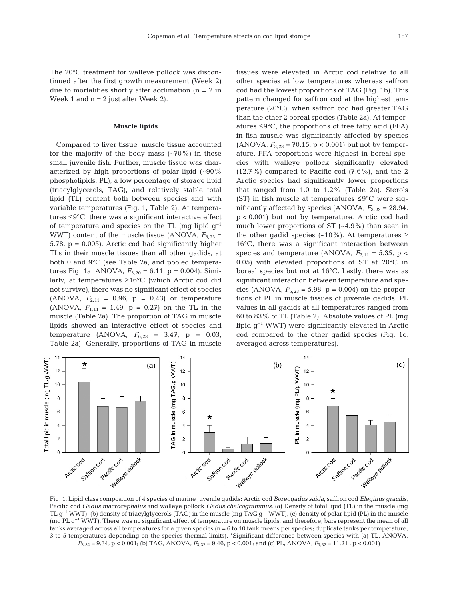The 20°C treatment for walleye pollock was discontinued after the first growth measurement (Week 2) due to mortalities shortly after acclimation  $(n = 2$  in Week 1 and  $n = 2$  just after Week 2).

# **Muscle lipids**

Compared to liver tissue, muscle tissue accounted for the majority of the body mass  $(-70%)$  in these small juvenile fish. Further, muscle tissue was characterized by high proportions of polar lipid  $(-90\%$ phospholipids, PL), a low percentage of storage lipid (triacylglycerols, TAG), and relatively stable total lipid (TL) content both between species and with variable temperatures (Fig. 1, Table 2). At temperatures ≤9°C, there was a significant interactive effect of temperature and species on the TL (mg lipid g−1 WWT) content of the muscle tissue (ANOVA,  $F_{6,23}$  = 5.78, p = 0.005). Arctic cod had significantly higher TLs in their muscle tissues than all other gadids, at both 0 and 9°C (see Table 2a, and pooled temperatures Fig. 1a; ANOVA,  $F_{3,20} = 6.11$ , p = 0.004). Similarly, at temperatures ≥16°C (which Arctic cod did not survive), there was no significant effect of species (ANOVA,  $F_{2,11} = 0.96$ ,  $p = 0.43$ ) or temperature (ANOVA,  $F_{1,11} = 1.49$ ,  $p = 0.27$ ) on the TL in the muscle (Table 2a). The proportion of TAG in muscle lipids showed an interactive effect of species and temperature (ANOVA, *F*6,23 = 3.47, p = 0.03, Table 2a). Generally, proportions of TAG in muscle tissues were elevated in Arctic cod relative to all other species at low temperatures whereas saffron cod had the lowest proportions of TAG (Fig. 1b). This pattern changed for saffron cod at the highest temperature (20°C), when saffron cod had greater TAG than the other 2 boreal species (Table 2a). At temperatures ≤9°C, the proportions of free fatty acid (FFA) in fish muscle was significantly affected by species (ANOVA,  $F_{3,23}$  = 70.15, p < 0.001) but not by temperature. FFA proportions were highest in boreal species with walleye pollock significantly elevated  $(12.7\%)$  compared to Pacific cod  $(7.6\%)$ , and the 2 Arctic species had significantly lower proportions that ranged from 1.0 to 1.2% (Table 2a). Sterols (ST) in fish muscle at temperatures  $\leq 9^{\circ}$ C were significantly affected by species (ANOVA,  $F_{3,23} = 28.94$ , p < 0.001) but not by temperature. Arctic cod had much lower proportions of ST (~4.9%) than seen in the other gadid species (~10%). At temperatures  $\geq$ 16°C, there was a significant interaction between species and temperature (ANOVA,  $F_{2,11} = 5.35$ , p < 0.05) with elevated proportions of ST at 20°C in boreal species but not at 16°C. Lastly, there was as significant interaction between temperature and species (ANOVA,  $F_{6,23} = 5.98$ , p = 0.004) on the proportions of PL in muscle tissues of juvenile gadids. PL values in all gadids at all temperatures ranged from 60 to 83% of TL (Table 2). Absolute values of PL (mg lipid g−1 WWT) were significantly elevated in Arctic cod compared to the other gadid species (Fig. 1c, averaged across temperatures).



Fig. 1. Lipid class composition of 4 species of marine juvenile gadids: Arctic cod *Boreogadus saida*, saffron cod *Eleginus gracilis*, Pacific cod *Gadus macrocephalus* and walleye pollock *Gadus chalcogrammus*. (a) Density of total lipid (TL) in the muscle (mg TL g−1 WWT), (b) density of triacylglycerols (TAG) in the muscle (mg TAG g−1 WWT), (c) density of polar lipid (PL) in the muscle (mg PL g−1 WWT). There was no significant effect of temperature on muscle lipids, and therefore, bars represent the mean of all tanks averaged across all temperatures for a given species  $(n = 6 to 10 \tanh$  means per species; duplicate tanks per temperature, 3 to 5 temperatures depending on the species thermal limits). \*Significant difference between species with (a) TL, ANOVA, *F*3,32 = 9.34, p < 0.001; (b) TAG, ANOVA, *F*3,32 = 9.46, p < 0.001; and (c) PL, ANOVA, *F*3,32 = 11.21 , p < 0.001)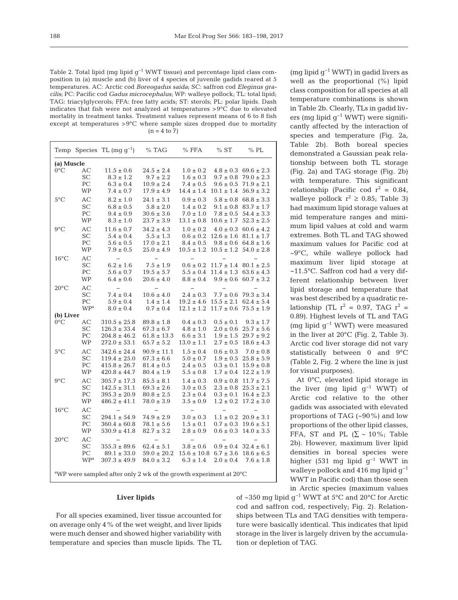Table 2. Total lipid (mg lipid  $g^{-1}$  WWT tissue) and percentage lipid class composition in (a) muscle and (b) liver of 4 species of juvenile gadids reared at 5 temperatures. AC: Arctic cod *Boreogadus saida*; SC: saffron cod *Eleginus gracilis*; PC: Pacific cod *Gadus microcephalus*; WP: walleye pollock; TL: total lipid; TAG: triacylglycerols; FFA: free fatty acids; ST: sterols; PL: polar lipids. Dash indicates that fish were not analyzed at temperatures >9°C due to elevated mortality in treatment tanks. Treatment values represent means of 6 to 8 fish except at temperatures  $>9^{\circ}$ C where sample sizes dropped due to mortality  $(n = 4 \text{ to } 7)$ 

|                                                                                                             |                        | Temp Species TL $(mq q^{-1})$ | $%$ TAG                  | $%$ FFA           | %ST            | $%$ PL                       |
|-------------------------------------------------------------------------------------------------------------|------------------------|-------------------------------|--------------------------|-------------------|----------------|------------------------------|
| (a) Muscle                                                                                                  |                        |                               |                          |                   |                |                              |
| $0^{\circ}$ C                                                                                               | AС                     | $11.5 \pm 0.6$                | $24.5 \pm 2.4$           | $1.0 \pm 0.2$     | $4.8 \pm 0.3$  | $69.6 \pm 2.3$               |
|                                                                                                             | SC                     | $8.3 \pm 1.2$                 | $9.7 \pm 2.2$            | $1.6 \pm 0.3$     | $9.7 \pm 0.8$  | $79.0 \pm 2.3$               |
|                                                                                                             | PС                     | $6.3 \pm 0.4$                 | $10.9 \pm 2.4$           | $7.4 \pm 0.5$     | $9.6 \pm 0.5$  | $71.9 \pm 2.1$               |
|                                                                                                             | WP                     | $7.4 \pm 0.7$                 | $17.9 \pm 4.9$           | $14.4 \pm 1.4$    | $10.1 \pm 1.4$ | $56.9 \pm 3.2$               |
|                                                                                                             |                        |                               |                          |                   |                |                              |
| $5^{\circ}$ C                                                                                               | AC                     | $8.2 \pm 1.0$                 | $24.1 \pm 3.1$           | $0.9 \pm 0.3$     | $5.8 \pm 0.8$  | $68.8 \pm 3.3$               |
|                                                                                                             | SC                     | $6.8 \pm 0.5$                 | $5.8 \pm 2.0$            | $1.4 \pm 0.2$     | $9.1 \pm 0.8$  | $83.7 \pm 1.7$               |
|                                                                                                             | PС                     | $9.4 \pm 0.9$                 | $30.6 \pm 3.6$           | $7.0 \pm 1.0$     | $7.8 \pm 0.5$  | $54.4 \pm 3.3$               |
|                                                                                                             | WP                     | $8.3 \pm 1.0$                 | $23.7 \pm 3.9$           | $13.1 \pm 0.8$    | $10.6 \pm 1.7$ | $52.3 \pm 2.5$               |
| $9^{\circ}C$                                                                                                | AC                     | $11.6 \pm 0.7$                | $34.2 \pm 4.3$           | $1.0 \pm 0.2$     | $4.0 \pm 0.3$  | $60.6 \pm 4.2$               |
|                                                                                                             | <b>SC</b>              | $5.4 \pm 0.4$                 | $5.5 \pm 1.3$            | $0.6 \pm 0.2$     | $12.6 \pm 1.6$ | $81.1 \pm 1.7$               |
|                                                                                                             | PC                     | $5.6 \pm 0.5$                 | $17.0 \pm 2.1$           | $8.4 \pm 0.5$     | $9.8 \pm 0.6$  | $64.8 \pm 1.6$               |
|                                                                                                             | WP                     | $7.9 \pm 0.5$                 | $25.0 \pm 4.9$           | $10.5 \pm 1.2$    | $10.5 \pm 1.2$ | $54.0 \pm 2.8$               |
|                                                                                                             |                        | $\overline{\phantom{0}}$      | $\overline{\phantom{0}}$ | $\overline{a}$    |                |                              |
| $16^{\circ}$ C                                                                                              | АC                     |                               |                          |                   |                |                              |
|                                                                                                             | SC                     | $6.2 \pm 1.6$                 | $7.5\pm1.9$              | $0.6 \pm 0.2$     | $11.7 \pm 1.4$ | $80.1 \pm 2.5$               |
|                                                                                                             | PС                     | $5.6 \pm 0.7$                 | $19.5 \pm 5.7$           | $5.5 \pm 0.4$     | $11.4 \pm 1.3$ | $63.6 \pm 4.3$               |
|                                                                                                             | WP                     | $6.4 \pm 0.6$                 | $20.6 \pm 4.0$           | $8.8 \pm 0.4$     |                | $9.9 \pm 0.6$ 60.7 $\pm 3.2$ |
| $20^{\circ}$ C                                                                                              | AC                     | $\qquad \qquad -$             | $\overline{\phantom{0}}$ | $\qquad \qquad -$ |                |                              |
|                                                                                                             | SC                     | $7.4 \pm 0.4$                 | $10.6 \pm 4.0$           | $2.4 \pm 0.3$     | $7.7 \pm 0.6$  | $79.3 \pm 3.4$               |
|                                                                                                             | PС                     | $5.9 \pm 0.4$                 | $1.4 \pm 1.4$            | $19.2 \pm 4.6$    | $15.5 \pm 2.1$ | $62.4 \pm 5.4$               |
|                                                                                                             | WP <sup>a</sup>        | $8.0 \pm 0.4$                 | $0.7 \pm 0.4$            | $12.1 \pm 1.2$    | $11.7 \pm 0.6$ | $75.5 \pm 1.9$               |
| (b) Liver                                                                                                   |                        |                               |                          |                   |                |                              |
| $0^{\circ}$ C                                                                                               | AC                     | $310.5 \pm 25.8$              | $89.8 \pm 1.8$           | $0.4 \pm 0.3$     | $0.5 \pm 0.1$  | $9.3 \pm 1.7$                |
|                                                                                                             | SC                     | $126.3 \pm 33.4$              | $67.3 \pm 6.7$           | $4.8 \pm 1.0$     | $2.0 \pm 0.6$  | $25.7 \pm 5.6$               |
|                                                                                                             | PС                     | $204.8 \pm 46.2$              | $61.8 \pm 13.3$          | $6.6 \pm 3.1$     | $1.9 \pm 1.5$  | $29.7 \pm 9.2$               |
|                                                                                                             | WP                     | $272.0 \pm 53.1$              | $65.7 \pm 5.2$           | $13.0 \pm 1.1$    | $2.7 \pm 0.5$  | $18.6 \pm 4.3$               |
| $5^{\circ}$ C                                                                                               | AC                     | $342.6 \pm 24.4$              | $90.9 \pm 11.1$          | $1.5 \pm 0.4$     | $0.6 \pm 0.3$  | $7.0 \pm 0.8$                |
|                                                                                                             | SC                     | $119.4 \pm 25.0$              | $67.3 \pm 6.6$           | $5.0 \pm 0.7$     | $1.9 \pm 0.5$  | $25.8 \pm 5.9$               |
|                                                                                                             | PC                     | $415.8 \pm 26.7$              |                          | $2.4 \pm 0.5$     | $0.3 \pm 0.1$  | $15.9 \pm 0.8$               |
|                                                                                                             |                        |                               | $81.4 \pm 0.5$           |                   |                |                              |
|                                                                                                             | WP                     | $420.8 \pm 44.7$              | $80.4 \pm 1.9$           | $5.5 \pm 0.8$     | $1.7 \pm 0.4$  | $12.2 \pm 1.9$               |
| $9^{\circ}$ C                                                                                               | АC                     | $305.7 \pm 17.3$              | $85.5 \pm 8.1$           | $1.4 \pm 0.3$     | $0.9 \pm 0.8$  | $11.7 \pm 7.5$               |
|                                                                                                             | SС                     | $142.5 \pm 31.1$              | $69.3 \pm 2.6$           | $3.0 \pm 0.5$     | $2.3 \pm 0.8$  | $25.3 \pm 2.1$               |
|                                                                                                             | PС                     | $395.3 \pm 20.9$              | $80.8 \pm 2.5$           | $2.3 \pm 0.4$     | $0.3 \pm 0.1$  | $16.4 \pm 2.3$               |
|                                                                                                             | WP                     | $486.2 \pm 41.1$              | $78.0 \pm 3.9$           | $3.5 \pm 0.9$     | $1.2 \pm 0.2$  | $17.2 \pm 3.0$               |
| $16^{\circ}$ C                                                                                              | АC                     |                               |                          |                   |                |                              |
|                                                                                                             | SC                     | $294.1 \pm 54.9$              | $74.9 \pm 2.9$           | $3.0 \pm 0.3$     | $1.1 \pm 0.2$  | $20.9 \pm 3.1$               |
|                                                                                                             | PС                     | $360.4 \pm 60.8$              | $78.1 \pm 5.6$           | $1.5 \pm 0.1$     | $0.7 \pm 0.3$  | $19.6 \pm 5.1$               |
|                                                                                                             | WP                     | $530.9 \pm 41.8$              | $82.7 \pm 3.2$           | $2.8 \pm 0.9$     | $0.6 \pm 0.3$  | $14.0 \pm 3.5$               |
|                                                                                                             |                        |                               |                          |                   |                |                              |
| $20^{\circ}$ C                                                                                              | AC                     |                               |                          |                   |                |                              |
|                                                                                                             | SC                     | $355.3 \pm 89.6$              | $62.4 \pm 5.1$           | $3.8 \pm 0.6$     | $0.9 \pm 0.4$  | $32.4 \pm 6.1$               |
|                                                                                                             | PС                     | $89.1 \pm 33.0$               | $59.0 \pm 20.2$          | $15.6 \pm 10.8$   | $6.7 \pm 3.6$  | $18.6 \pm 6.5$               |
|                                                                                                             | <b>WP</b> <sup>a</sup> | $307.3 \pm 49.9$              | $84.0 \pm 3.2$           | $6.3 \pm 1.4$     | $2.0 \pm 0.4$  | $7.6 \pm 1.8$                |
|                                                                                                             |                        |                               |                          |                   |                |                              |
| $\mathrm{d}^{\mathrm{a}}\mathbf{W}\mathbf{P}$ were sampled after only 2 wk of the growth experiment at 20°C |                        |                               |                          |                   |                |                              |

# **Liver lipids**

For all species examined, liver tissue accounted for on average only 4% of the wet weight, and liver lipids were much denser and showed higher variability with temperature and species than muscle lipids. The TL

(mg lipid  $q^{-1}$  WWT) in gadid livers as well as the proportional (%) lipid class composition for all species at all temperature combinations is shown in Table 2b. Clearly, TLs in gadid livers (mg lipid g−1 WWT) were significantly affected by the interaction of species and temperature (Fig. 2a, Table 2b). Both boreal species demonstrated a Gaussian peak relationship between both TL storage (Fig. 2a) and TAG storage (Fig. 2b) with temperature. This significant relationship (Pacific cod  $r^2 = 0.84$ , walleye pollock  $r^2 \ge 0.85$ ; Table 3) had maximum lipid storage values at mid temperature ranges and minimum lipid values at cold and warm extremes. Both TL and TAG showed maximum values for Pacific cod at ~9°C, while walleye pollock had maximum liver lipid storage at ~11.5°C. Saffron cod had a very different relationship between liver lipid storage and temperature that was best described by a quadratic relationship (TL  $r^2 = 0.97$ , TAG  $r^2 =$ 0.89). Highest levels of TL and TAG (mg lipid g−1 WWT) were measured in the liver at 20°C (Fig. 2, Table 3). Arctic cod liver storage did not vary statistically between 0 and 9°C (Table 2, Fig. 2 where the line is just for visual purposes).

At 0°C, elevated lipid storage in the liver (mg lipid  $g^{-1}$  WWT) of Arctic cod relative to the other gadids was associated with elevated proportions of TAG (~90%) and low proportions of the other lipid classes, FFA, ST and PL  $(\Sigma \sim 10\%;$  Table 2b). However, maximum liver lipid densities in boreal species were higher (531 mg lipid g−1 WWT in walleye pollock and 416 mg lipid  $q^{-1}$ WWT in Pacific cod) than those seen

in Arctic species (maximum values

of ~350 mg lipid g−1 WWT at 5°C and 20°C for Arctic cod and saffron cod, respectively; Fig. 2). Relationships between TLs and TAG densities with temperature were basically identical. This indicates that lipid storage in the liver is largely driven by the accumulation or depletion of TAG.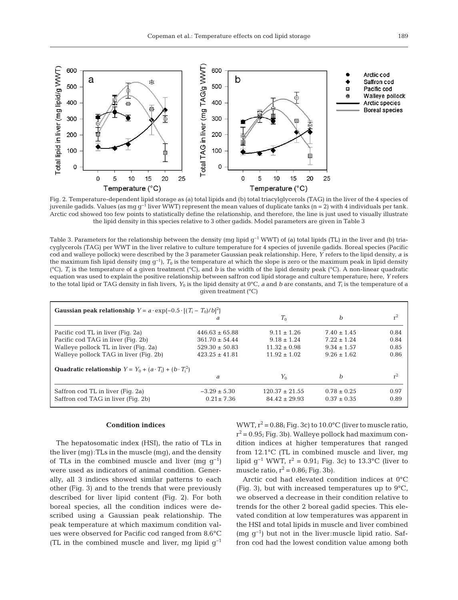

Fig. 2. Temperature-dependent lipid storage as (a) total lipids and (b) total triacylglycerols (TAG) in the liver of the 4 species of juvenile gadids. Values (as mg g<sup>-1</sup> liver WWT) represent the mean values of duplicate tanks (n = 2) with 4 individuals per tank. Arctic cod showed too few points to statistically define the relationship, and therefore, the line is just used to visually illustrate the lipid density in this species relative to 3 other gadids. Model parameters are given in Table 3

Table 3. Parameters for the relationship between the density (mg lipid g<sup>-1</sup> WWT) of (a) total lipids (TL) in the liver and (b) triacyglycerols (TAG) per WWT in the liver relative to culture temperature for 4 species of juvenile gadids. Boreal species (Pacific cod and walleye pollock) were described by the 3 parameter Gaussian peak relationship. Here, *Y* refers to the lipid density, *a* is the maximum fish lipid density (mg  $g^{-1}$ ),  $T_0$  is the temperature at which the slope is zero or the maximum peak in lipid density  $({}^{\circ}C)$ , *T<sub>i</sub>* is the temperature of a given treatment  $({}^{\circ}C)$ , and *b* is the width of the lipid density peak  $({}^{\circ}C)$ . A non-linear quadratic equation was used to explain the positive relationship between saffron cod lipid storage and culture temperature; here, *Y* refers to the total lipid or TAG density in fish livers,  $Y_0$  is the lipid density at  $0^{\circ}C$ , *a* and *b* are constants, and  $T_i$  is the temperature of a given treatment (°C)

| Gaussian peak relationship $Y = a \cdot \exp\{-0.5 \cdot [(T_i - T_0)/b]^2\}$ |                    |                    |                 |       |  |  |  |
|-------------------------------------------------------------------------------|--------------------|--------------------|-----------------|-------|--|--|--|
|                                                                               | a                  | $T_0$              | b               |       |  |  |  |
| Pacific cod TL in liver (Fig. 2a)                                             | $446.63 \pm 65.88$ | $9.11 \pm 1.26$    | $7.40 \pm 1.45$ | 0.84  |  |  |  |
| Pacific cod TAG in liver (Fig. 2b)                                            | $361.70 \pm 54.44$ | $9.18 \pm 1.24$    | $7.22 \pm 1.24$ | 0.84  |  |  |  |
| Walleye pollock TL in liver (Fig. 2a)                                         | $529.30 \pm 50.83$ | $11.32 \pm 0.98$   | $9.34 \pm 1.57$ | 0.85  |  |  |  |
| Walleye pollock TAG in liver (Fig. 2b)                                        | $423.25 \pm 41.81$ | $11.92 \pm 1.02$   | $9.26 \pm 1.62$ | 0.86  |  |  |  |
| <b>Quadratic relationship</b> $Y = Y_0 + (a \cdot T_i) + (b \cdot T_i^2)$     |                    |                    |                 |       |  |  |  |
|                                                                               | $\partial$         | $Y_0$              | b               | $r^2$ |  |  |  |
| Saffron cod TL in liver (Fig. 2a)                                             | $-3.29 \pm 5.30$   | $120.37 \pm 21.55$ | $0.78 \pm 0.25$ | 0.97  |  |  |  |
| Saffron cod TAG in liver (Fig. 2b)                                            | $0.21 \pm 7.36$    | $84.42 \pm 29.93$  | $0.37 \pm 0.35$ | 0.89  |  |  |  |

#### **Condition indices**

The hepatosomatic index (HSI), the ratio of TLs in the liver (mg):TLs in the muscle (mg), and the density of TLs in the combined muscle and liver (mg  $g^{-1}$ ) were used as indicators of animal condition. Generally, all 3 indices showed similar patterns to each other (Fig. 3) and to the trends that were previously described for liver lipid content (Fig. 2). For both boreal species, all the condition indices were described using a Gaussian peak relationship. The peak temperature at which maximum condition values were observed for Pacific cod ranged from 8.6°C (TL in the combined muscle and liver, mg lipid  $q^{-1}$ ) WWT,  $r^2 = 0.88$ ; Fig. 3c) to 10.0°C (liver to muscle ratio,  $r^2$  = 0.95; Fig. 3b). Walleye pollock had maximum condition indices at higher temperatures that ranged from 12.1°C (TL in combined muscle and liver, mg lipid  $g^{-1}$  WWT,  $r^2 = 0.91$ ; Fig. 3c) to 13.3°C (liver to muscle ratio,  $r^2 = 0.86$ ; Fig. 3b).

Arctic cod had elevated condition indices at 0°C (Fig. 3), but with increased temperatures up to  $9^{\circ}C$ , we observed a decrease in their condition relative to trends for the other 2 boreal gadid species. This elevated condition at low temperatures was apparent in the HSI and total lipids in muscle and liver combined (mg g−1) but not in the liver:muscle lipid ratio. Saffron cod had the lowest condition value among both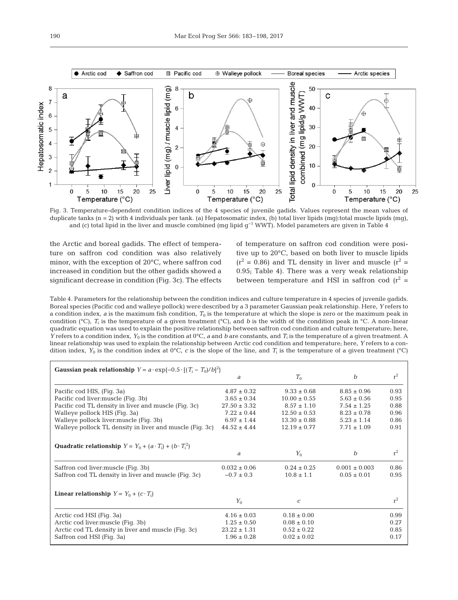

Fig. 3. Temperature-dependent condition indices of the 4 species of juvenile gadids. Values represent the mean values of duplicate tanks  $(n = 2)$  with 4 individuals per tank. (a) Hepatosomatic index, (b) total liver lipids  $(mg)$ :total muscle lipids  $(mg)$ , and (c) total lipid in the liver and muscle combined (mg lipid g−1 WWT). Model parameters are given in Table 4

the Arctic and boreal gadids. The effect of temperature on saffron cod condition was also relatively minor, with the exception of 20°C, where saffron cod increased in condition but the other gadids showed a significant decrease in condition (Fig. 3c). The effects of temperature on saffron cod condition were positive up to 20°C, based on both liver to muscle lipids  $(r^2 = 0.86)$  and TL density in liver and muscle  $(r^2 =$ 0.95; Table 4). There was a very weak relationship between temperature and HSI in saffron cod  $(r^2 =$ 

Table 4. Parameters for the relationship between the condition indices and culture temperature in 4 species of juvenile gadids. Boreal species (Pacific cod and walleye pollock) were described by a 3 parameter Gaussian peak relationship. Here, *Y* refers to a condition index,  $a$  is the maximum fish condition,  $T_0$  is the temperature at which the slope is zero or the maximum peak in condition ( $^{\circ}$ C),  $T_i$  is the temperature of a given treatment ( $^{\circ}$ C), and *b* is the width of the condition peak in  $^{\circ}$ C. A non-linear quadratic equation was used to explain the positive relationship between saffron cod condition and culture temperature; here, *Y* refers to a condition index, *Y*<sup>0</sup> is the condition at 0°C, *a* and *b* are constants, and *T*<sup>i</sup> is the temperature of a given treatment. A linear relationship was used to explain the relationship between Arctic cod condition and temperature; here, *Y* refers to a condition index,  $Y_0$  is the condition index at  $0^{\circ}C$ , *c* is the slope of the line, and  $T_i$  is the temperature of a given treatment  $(^\circ C)$ 

| <b>Gaussian peak relationship</b> $Y = a \cdot \exp\{-0.5 \cdot [(T_i - T_0)/b]^2\}$ |                  |                  |                   |       |  |
|--------------------------------------------------------------------------------------|------------------|------------------|-------------------|-------|--|
|                                                                                      | a                | $T_0$            | $\boldsymbol{b}$  | $r^2$ |  |
| Pacific cod HIS, (Fig. 3a)                                                           | $4.87 \pm 0.32$  | $9.33 \pm 0.68$  | $8.85 \pm 0.96$   | 0.93  |  |
| Pacific cod liver: muscle (Fig. 3b)                                                  | $3.65 \pm 0.34$  | $10.00 \pm 0.55$ | $5.63 \pm 0.56$   | 0.95  |  |
| Pacific cod TL density in liver and muscle (Fig. 3c)                                 | $27.50 \pm 3.32$ | $8.57 \pm 1.10$  | $7.54 \pm 1.25$   | 0.88  |  |
| Walleye pollock HIS (Fig. 3a)                                                        | $7.22 \pm 0.44$  | $12.50 \pm 0.53$ | $8.23 \pm 0.78$   | 0.96  |  |
| Walleye pollock liver: muscle (Fig. 3b)                                              | $6.97 \pm 1.44$  | $13.30 \pm 0.88$ | $5.23 \pm 1.14$   | 0.86  |  |
| Walleye pollock TL density in liver and muscle (Fig. 3c)                             | $44.52 \pm 4.44$ | $12.19 \pm 0.77$ | $7.71 \pm 1.09$   | 0.91  |  |
|                                                                                      |                  |                  |                   |       |  |
| <b>Quadratic relationship</b> $Y = Y_0 + (a \cdot T_i) + (b \cdot T_i^2)$            |                  |                  |                   |       |  |
|                                                                                      | а                | $Y_0$            | $\boldsymbol{b}$  | $r^2$ |  |
| Saffron cod liver: muscle (Fig. 3b)                                                  | $0.032 \pm 0.06$ | $0.24 \pm 0.25$  | $0.001 \pm 0.003$ | 0.86  |  |
| Saffron cod TL density in liver and muscle (Fig. 3c)                                 | $-0.7 \pm 0.3$   | $10.8 \pm 1.1$   | $0.05 \pm 0.01$   | 0.95  |  |
|                                                                                      |                  |                  |                   |       |  |
| <b>Linear relationship</b> $Y = Y_0 + (c \cdot T_i)$                                 |                  |                  |                   |       |  |
|                                                                                      | $Y_0$            | $\mathcal{C}$    |                   | $r^2$ |  |
| Arctic cod HSI (Fig. 3a)                                                             | $4.16 \pm 0.03$  | $0.18 \pm 0.00$  |                   | 0.99  |  |
| Arctic cod liver: muscle (Fig. 3b)                                                   | $1.25 \pm 0.50$  | $0.08 \pm 0.10$  |                   | 0.27  |  |
| Arctic cod TL density in liver and muscle (Fig. 3c)                                  | $23.22 \pm 1.31$ | $0.52 \pm 0.22$  |                   | 0.85  |  |
| Saffron cod HSI (Fig. 3a)                                                            | $1.96 \pm 0.28$  | $0.02 \pm 0.02$  |                   | 0.17  |  |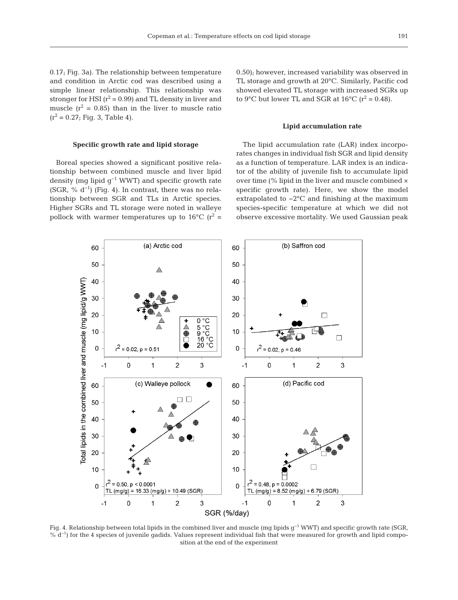0.17; Fig. 3a). The relationship between temperature and condition in Arctic cod was described using a simple linear relationship. This relationship was stronger for HSI  $(r^2 = 0.99)$  and TL density in liver and muscle  $(r^2 = 0.85)$  than in the liver to muscle ratio  $(r^2 = 0.27;$  Fig. 3, Table 4).

# **Specific growth rate and lipid storage**

Boreal species showed a significant positive relationship between combined muscle and liver lipid density (mg lipid  $q^{-1}$  WWT) and specific growth rate (SGR, %  $d^{-1}$ ) (Fig. 4). In contrast, there was no relationship be tween SGR and TLs in Arctic species. Higher SGRs and TL storage were noted in walleye pollock with warmer temperatures up to  $16^{\circ}$ C ( $r^2$  = 0.50); however, increased variability was observed in TL storage and growth at 20°C. Similarly, Pacific cod showed elevated TL storage with increased SGRs up to 9°C but lower TL and SGR at 16°C ( $r^2$  = 0.48).

# **Lipid accumulation rate**

The lipid accumulation rate (LAR) index incorporates changes in individual fish SGR and lipid density as a function of temperature. LAR index is an indicator of the ability of juvenile fish to accumulate lipid over time (% lipid in the liver and muscle combined × specific growth rate). Here, we show the model extrapolated to −2°C and finishing at the maximum species-specific temperature at which we did not observe excessive mortality. We used Gaussian peak



Fig. 4. Relationship between total lipids in the combined liver and muscle (mg lipids g−1 WWT) and specific growth rate (SGR, % d<sup>-1</sup>) for the 4 species of juvenile gadids. Values represent individual fish that were measured for growth and lipid composition at the end of the experiment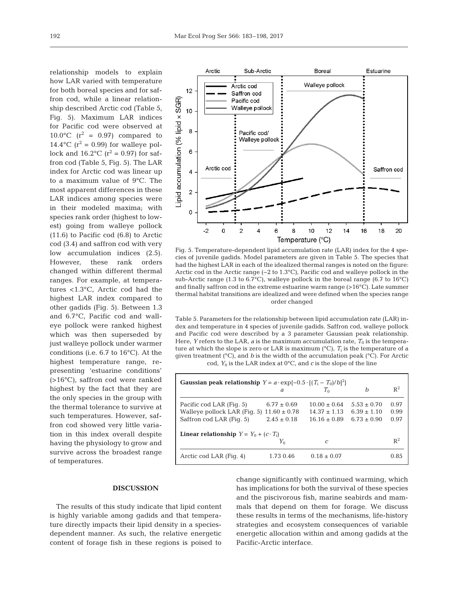relationship models to explain how LAR varied with temperature for both boreal species and for saffron cod, while a linear relationship described Arctic cod (Table 5, Fig. 5). Maximum LAR indices for Pacific cod were observed at 10.0 $\degree$ C (r<sup>2</sup> = 0.97) compared to 14.4°C ( $r^2$  = 0.99) for walleye pollock and  $16.2$ °C ( $r^2 = 0.97$ ) for saffron cod (Table 5, Fig. 5). The LAR index for Arctic cod was linear up to a maximum value of 9°C. The most apparent differences in these LAR indices among species were in their modeled maxima; with species rank order (highest to lowest) going from walleye pollock (11.6) to Pacific cod (6.8) to Arctic cod (3.4) and saffron cod with very low accumulation indices (2.5). However, these rank orders changed within different thermal ranges. For example, at temperatures <1.3°C, Arctic cod had the highest LAR index compared to other gadids (Fig. 5). Between 1.3 and 6.7°C, Pacific cod and walleye pollock were ranked highest which was then superseded by just walleye pollock under warmer conditions (i.e.  $6.7$  to  $16^{\circ}$ C). At the highest temperature range, representing 'estuarine conditions' (>16°C), saffron cod were ranked highest by the fact that they are the only species in the group with the thermal tolerance to survive at such temperatures. However, saffron cod showed very little variation in this index overall despite having the physiology to grow and survive across the broadest range of temperatures.



Fig. 5. Temperature-dependent lipid accumulation rate (LAR) index for the 4 species of juvenile gadids. Model parameters are given in Table 5. The species that had the highest LAR in each of the idealized thermal ranges is noted on the figure: Arctic cod in the Arctic range (−2 to 1.3°C), Pacific cod and walleye pollock in the sub-Arctic range (1.3 to 6.7 $^{\circ}$ C), walleye pollock in the boreal range (6.7 to 16 $^{\circ}$ C) and finally saffron cod in the extreme estuarine warm range (>16°C). Late summer thermal habitat transitions are idealized and were defined when the species range order changed

Table 5. Parameters for the relationship between lipid accumulation rate (LAR) index and temperature in 4 species of juvenile gadids. Saffron cod, walleye pollock and Pacific cod were described by a 3 parameter Gaussian peak relationship. Here, *Y* refers to the LAR, *a* is the maximum accumulation rate,  $T_0$  is the temperature at which the slope is zero or LAR is maximum  $({}^{\circ}C)$ ,  $T_i$  is the temperature of a given treatment (°C), and *b* is the width of the accumulation peak (°C). For Arctic cod,  $Y_0$  is the LAR index at  $0^{\circ}C$ , and *c* is the slope of the line

| <b>Gaussian peak relationship</b> $Y = a \cdot \exp\{-0.5 \cdot [(T_i - T_0)/b]^2\}$ |                 |                  |                 |                |  |  |
|--------------------------------------------------------------------------------------|-----------------|------------------|-----------------|----------------|--|--|
|                                                                                      | a               | $T_{\alpha}$     | h               | $\mathbb{R}^2$ |  |  |
| Pacific cod LAR (Fig. 5)                                                             | $6.77 \pm 0.69$ | $10.00 \pm 0.64$ | $5.53 \pm 0.70$ | 0.97           |  |  |
| Walleye pollock LAR (Fig. 5) $11.60 \pm 0.78$                                        |                 | $14.37 + 1.13$   | $6.39 \pm 1.10$ | 0.99           |  |  |
| Saffron cod LAR (Fig. 5)                                                             | $2.45 + 0.18$   | $16.16 + 0.89$   | $6.73 + 0.90$   | 0.97           |  |  |
| <b>Linear relationship</b> $Y = Y_0 + (c \cdot T_i)$                                 |                 |                  |                 |                |  |  |
|                                                                                      | $Y_0$           | C                |                 | $R^2$          |  |  |
| Arctic cod LAR (Fig. 4)                                                              | 1.73 0.46       | $0.18 \pm 0.07$  |                 | 0.85           |  |  |

# **DISCUSSION**

The results of this study indicate that lipid content is highly variable among gadids and that temperature directly impacts their lipid density in a speciesdependent manner. As such, the relative energetic content of forage fish in these regions is poised to change significantly with continued warming, which has implications for both the survival of these species and the piscivorous fish, marine seabirds and mammals that depend on them for forage. We discuss these results in terms of the mechanisms, life-history strategies and ecosystem consequences of variable energetic allocation within and among gadids at the Pacific-Arctic interface.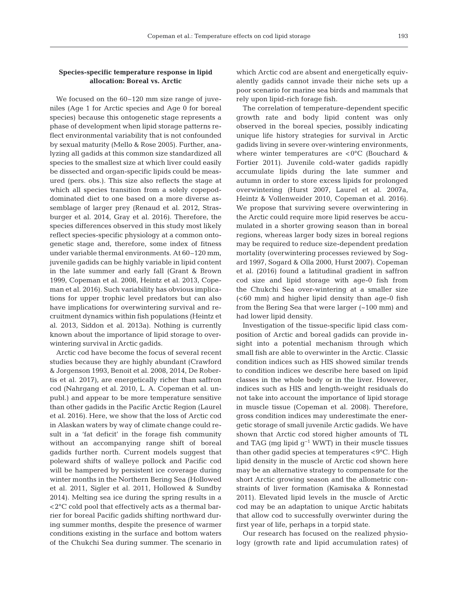# **Species-specific temperature response in lipid allocation: Boreal vs. Arctic**

We focused on the  $60-120$  mm size range of juveniles (Age 1 for Arctic species and Age 0 for boreal species) because this ontogenetic stage represents a phase of development when lipid storage patterns reflect environmental variability that is not confounded by sexual maturity (Mello & Rose 2005). Further, analyzing all gadids at this common size standardized all species to the smallest size at which liver could easily be dissected and organ-specific lipids could be measured (pers. obs.). This size also reflects the stage at which all species transition from a solely copepoddominated diet to one based on a more diverse assemblage of larger prey (Renaud et al. 2012, Strasburger et al. 2014, Gray et al. 2016). Therefore, the species differences observed in this study most likely reflect species-specific physiology at a common ontogenetic stage and, therefore, some index of fitness under variable thermal environments. At 60–120 mm, juvenile gadids can be highly variable in lipid content in the late summer and early fall (Grant & Brown 1999, Copeman et al. 2008, Heintz et al. 2013, Copeman et al. 2016). Such variability has obvious implications for upper trophic level predators but can also have implications for overwintering survival and recruitment dynamics within fish populations (Heintz et al. 2013, Siddon et al. 2013a). Nothing is currently known about the importance of lipid storage to overwintering survival in Arctic gadids.

Arctic cod have become the focus of several recent studies because they are highly abundant (Crawford & Jorgenson 1993, Benoit et al. 2008, 2014, De Robertis et al. 2017), are energetically richer than saffron cod (Nahrgang et al. 2010, L. A. Copeman et al. unpubl.) and appear to be more temperature sensitive than other gadids in the Pacific Arctic Region (Laurel et al. 2016). Here, we show that the loss of Arctic cod in Alaskan waters by way of climate change could re sult in a 'fat deficit' in the forage fish community without an accompanying range shift of boreal gadids further north. Current models suggest that poleward shifts of walleye pollock and Pacific cod will be hampered by persistent ice coverage during winter months in the Northern Bering Sea (Hollowed et al. 2011, Sigler et al. 2011, Hollowed & Sundby 2014). Melting sea ice during the spring results in a <2°C cold pool that effectively acts as a thermal barrier for boreal Pacific gadids shifting northward during summer months, despite the presence of warmer conditions existing in the surface and bottom waters of the Chukchi Sea during summer. The scenario in which Arctic cod are absent and energetically equivalently gadids cannot invade their niche sets up a poor scenario for marine sea birds and mammals that rely upon lipid-rich forage fish.

The correlation of temperature-dependent specific growth rate and body lipid content was only observed in the boreal species, possibly indicating unique life history strategies for survival in Arctic gadids living in severe over-wintering environments, where winter temperatures are <0°C (Bouchard & Fortier 2011). Juvenile cold-water gadids rapidly accumulate lipids during the late summer and autumn in order to store excess lipids for prolonged overwintering (Hurst 2007, Laurel et al. 2007a, Heintz & Vollenweider 2010, Copeman et al. 2016). We propose that surviving severe overwintering in the Arctic could require more lipid reserves be accumulated in a shorter growing season than in boreal regions, whereas larger body sizes in boreal regions may be required to reduce size-dependent predation mortality (overwintering processes reviewed by Sogard 1997, Sogard & Olla 2000, Hurst 2007). Copeman et al. (2016) found a latitudinal gradient in saffron cod size and lipid storage with age-0 fish from the Chukchi Sea over-wintering at a smaller size (<60 mm) and higher lipid density than age-0 fish from the Bering Sea that were larger (~100 mm) and had lower lipid density.

Investigation of the tissue-specific lipid class composition of Arctic and boreal gadids can provide in sight into a potential mechanism through which small fish are able to overwinter in the Arctic. Classic condition indices such as HIS showed similar trends to condition indices we describe here based on lipid classes in the whole body or in the liver. However, indices such as HIS and length-weight residuals do not take into account the importance of lipid storage in muscle tissue (Copeman et al. 2008). Therefore, gross condition indices may underestimate the energetic storage of small juvenile Arctic gadids. We have shown that Arctic cod stored higher amounts of TL and TAG (mg lipid  $g^{-1}$  WWT) in their muscle tissues than other gadid species at temperatures  $\langle 9^{\circ}$ C. High lipid density in the muscle of Arctic cod shown here may be an alternative strategy to compensate for the short Arctic growing season and the allometric constraints of liver formation (Kamisaka & Ronnestad 2011). Elevated lipid levels in the muscle of Arctic cod may be an adaptation to unique Arctic habitats that allow cod to successfully overwinter during the first year of life, perhaps in a torpid state.

Our research has focused on the realized physiology (growth rate and lipid accumulation rates) of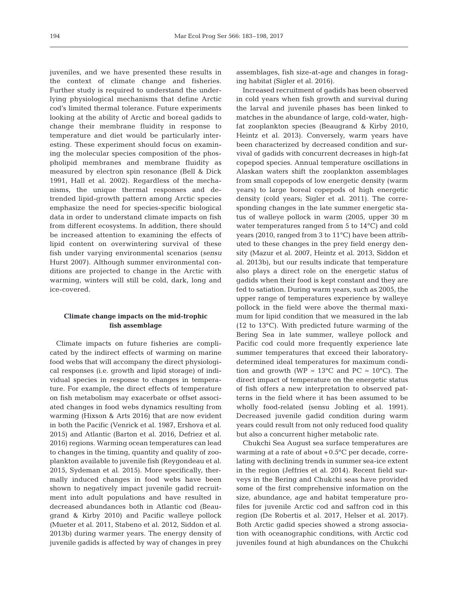juveniles, and we have presented these results in the context of climate change and fisheries. Further study is required to understand the underlying physiological mechanisms that define Arctic cod's limited thermal tolerance. Future experiments looking at the ability of Arctic and boreal gadids to change their membrane fluidity in response to temperature and diet would be particularly interesting. These experiment should focus on examining the molecular species composition of the phospholipid membranes and membrane fluidity as measured by electron spin resonance (Bell & Dick 1991, Hall et al. 2002). Regardless of the mechanisms, the unique thermal responses and detrended lipid-growth pattern among Arctic species emphasize the need for species-specific biological data in order to understand climate impacts on fish from different ecosystems. In addition, there should be increased attention to examining the effects of lipid content on overwintering survival of these fish under varying environmental scenarios (*sensu* Hurst 2007). Although summer environmental conditions are projected to change in the Arctic with warming, winters will still be cold, dark, long and ice-covered.

# **Climate change impacts on the mid-trophic fish assemblage**

Climate impacts on future fisheries are complicated by the indirect effects of warming on marine food webs that will accompany the direct physiological responses (i.e. growth and lipid storage) of individual species in response to changes in temperature. For example, the direct effects of temperature on fish metabolism may exacerbate or offset associated changes in food webs dynamics resulting from warming (Hixson & Arts 2016) that are now evident in both the Pacific (Venrick et al. 1987, Ershova et al. 2015) and Atlantic (Barton et al. 2016, Defriez et al. 2016) regions. Warming ocean temperatures can lead to changes in the timing, quantity and quality of zooplankton available to juvenile fish (Reygondeau et al. 2015, Sydeman et al. 2015). More specifically, thermally induced changes in food webs have been shown to negatively impact juvenile gadid recruitment into adult populations and have resulted in decreased abundances both in Atlantic cod (Beaugrand & Kirby 2010) and Pacific walleye pollock (Mueter et al. 2011, Stabeno et al. 2012, Siddon et al. 2013b) during warmer years. The energy density of juvenile gadids is affected by way of changes in prey

assemblages, fish size-at-age and changes in foraging habitat (Sigler et al. 2016).

Increased recruitment of gadids has been observed in cold years when fish growth and survival during the larval and juvenile phases has been linked to matches in the abundance of large, cold-water, highfat zooplankton species (Beaugrand & Kirby 2010, Heintz et al. 2013). Conversely, warm years have been characterized by decreased condition and survival of gadids with concurrent decreases in high-fat copepod species. Annual temperature oscillations in Alaskan waters shift the zooplankton assemblages from small copepods of low energetic density (warm years) to large boreal copepods of high energetic density (cold years; Sigler et al. 2011). The corresponding changes in the late summer energetic status of walleye pollock in warm (2005, upper 30 m water temperatures ranged from 5 to 14°C) and cold years (2010, ranged from 3 to 11°C) have been attributed to these changes in the prey field energy density (Mazur et al. 2007, Heintz et al. 2013, Siddon et al. 2013b), but our results indicate that temperature also plays a direct role on the energetic status of gadids when their food is kept constant and they are fed to satiation. During warm years, such as 2005, the upper range of temperatures experience by walleye pollock in the field were above the thermal maximum for lipid condition that we measured in the lab (12 to 13°C). With predicted future warming of the Bering Sea in late summer, walleye pollock and Pacific cod could more frequently experience late summer temperatures that exceed their laboratorydetermined ideal temperatures for maximum condition and growth (WP  $\approx 13^{\circ}$ C and PC  $\approx 10^{\circ}$ C). The direct impact of temperature on the energetic status of fish offers a new interpretation to observed patterns in the field where it has been assumed to be wholly food-related (sensu Jobling et al. 1991). Decreased juvenile gadid condition during warm years could result from not only reduced food quality but also a concurrent higher metabolic rate.

Chukchi Sea August sea surface temperatures are warming at a rate of about  $+0.5^{\circ}$ C per decade, correlating with declining trends in summer sea-ice extent in the region (Jeffries et al. 2014). Recent field surveys in the Bering and Chukchi seas have provided some of the first comprehensive information on the size, abundance, age and habitat temperature profiles for juvenile Arctic cod and saffron cod in this region (De Robertis et al. 2017, Helser et al. 2017). Both Arctic gadid species showed a strong association with oceanographic conditions, with Arctic cod juveniles found at high abundances on the Chukchi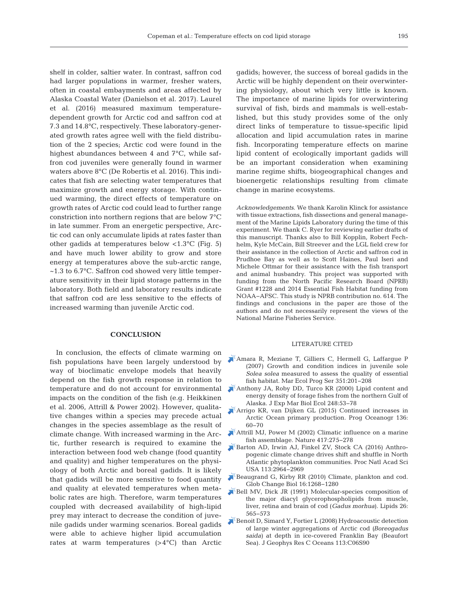shelf in colder, saltier water. In contrast, saffron cod had larger populations in warmer, fresher waters, often in coastal embayments and areas affected by Alaska Coastal Water (Danielson et al. 2017). Laurel et al. (2016) measured maximum temperaturedependent growth for Arctic cod and saffron cod at 7.3 and 14.8°C, respectively. These laboratory-generated growth rates agree well with the field distribution of the 2 species; Arctic cod were found in the highest abundances between 4 and 7°C, while saffron cod juveniles were generally found in warmer waters above 8°C (De Robertis et al. 2016). This indicates that fish are selecting water temperatures that maximize growth and energy storage. With continued warming, the direct effects of temperature on growth rates of Arctic cod could lead to further range constriction into northern regions that are below 7°C in late summer. From an energetic perspective, Arctic cod can only accumulate lipids at rates faster than other gadids at temperatures below <1.3°C (Fig. 5) and have much lower ability to grow and store energy at temperatures above the sub-arctic range, ~1.3 to 6.7°C. Saffron cod showed very little temperature sensitivity in their lipid storage patterns in the laboratory. Both field and laboratory results indicate that saffron cod are less sensitive to the effects of increased warming than juvenile Arctic cod.

# **CONCLUSION**

In conclusion, the effects of climate warming on fish populations have been largely understood by way of bioclimatic envelope models that heavily depend on the fish growth response in relation to temperature and do not account for environmental impacts on the condition of the fish (e.g. Heikkinen et al. 2006, Attrill & Power 2002). However, qualitative changes within a species may precede actual changes in the species assemblage as the result of climate change. With increased warming in the Arctic, further research is required to examine the interaction between food web change (food quantity and quality) and higher temperatures on the physiology of both Arctic and boreal gadids. It is likely that gadids will be more sensitive to food quantity and quality at elevated temperatures when metabolic rates are high. Therefore, warm temperatures coupled with decreased availability of high-lipid prey may interact to decrease the condition of juvenile gadids under warming scenarios. Boreal gadids were able to achieve higher lipid accumulation rates at warm temperatures (>4°C) than Arctic

gadids; however, the success of boreal gadids in the Arctic will be highly dependent on their overwintering physiology, about which very little is known. The importance of marine lipids for overwintering survival of fish, birds and mammals is well-established, but this study provides some of the only direct links of temperature to tissue-specific lipid allocation and lipid accumulation rates in marine fish. Incorporating temperature effects on marine lipid content of ecologically important gadids will be an important consideration when examining marine regime shifts, biogeographical changes and bioenergetic relationships resulting from climate change in marine ecosystems.

*Acknowledgements*. We thank Karolin Klinck for assistance with tissue extractions, fish dissections and general management of the Marine Lipids Laboratory during the time of this experiment. We thank C. Ryer for reviewing earlier drafts of this manuscript. Thanks also to Bill Kopplin, Robert Fechhelm, Kyle McCain, Bill Streever and the LGL field crew for their assistance in the collection of Arctic and saffron cod in Prudhoe Bay as well as to Scott Haines, Paul Iseri and Michele Ottmar for their assistance with the fish transport and animal husbandry. This project was supported with funding from the North Pacific Research Board (NPRB) Grant #1228 and 2014 Essential Fish Habitat funding from NOAA−AFSC. This study is NPRB contribution no. 614. The findings and conclusions in the paper are those of the authors and do not necessarily represent the views of the National Marine Fisheries Service.

# LITERATURE CITED

- [Amara R, Meziane T, Gilliers C, Hermell G, Laffargue P](https://doi.org/10.3354/meps07154) (2007) Growth and condition indices in juvenile sole *Solea solea* measured to assess the quality of essential fish habitat. Mar Ecol Prog Ser 351: 201−208
- [Anthony JA, Roby DD, Turco KR \(2000\) Lipid content and](https://doi.org/10.1016/S0022-0981(00)00159-3) energy density of forage fishes from the northern Gulf of Alaska. J Exp Mar Biol Ecol 248:53−78
- [Arrigo KR, van Dijken GL \(2015\) Continued increases in](https://doi.org/10.1016/j.pocean.2015.05.002) Arctic Ocean primary production. Prog Oceanogr 136: 60−70
- [Attrill MJ, Power M \(2002\) Climatic influence on a marine](https://doi.org/10.1038/417275a) fish assemblage. Nature 417: 275−278
- [Barton AD, Irwin AJ, Finkel ZV, Stock CA \(2016\) Anthro](https://doi.org/10.1073/pnas.1519080113)pogenic climate change drives shift and shuffle in North Atlantic phytoplankton communities. Proc Natl Acad Sci USA 113:2964-2969
- [Beaugrand G, Kirby RR \(2010\) Climate, plankton and cod.](https://doi.org/10.1111/j.1365-2486.2009.02063.x) Glob Change Biol 16: 1268−1280
- [Bell MV, Dick JR \(1991\) Molecular-species composition of](https://doi.org/10.1007/BF02536419) the major diacyl glycerophospholipids from muscle, liver, retina and brain of cod (*Gadus morhua*). Lipids 26: 565−573
- [Benoit D, Simard Y, Fortier L \(2008\) Hydroacoustic detection](https://doi.org/10.1029/2007JC004276) of large winter aggregations of Arctic cod *(Boreogadus saida)* at depth in ice-covered Franklin Bay (Beaufort Sea). J Geophys Res C Oceans 113: C06S90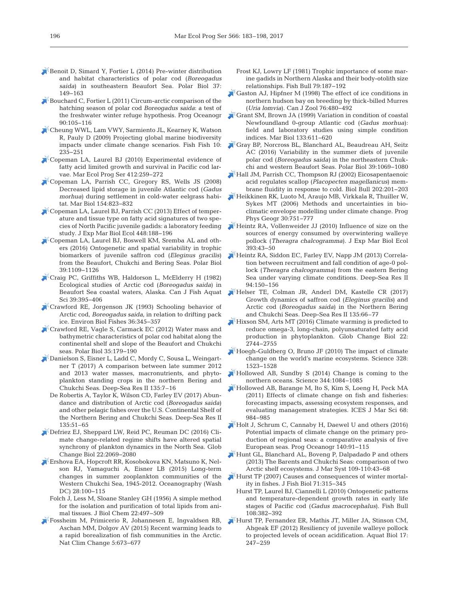- [Benoit D, Simard Y, Fortier L \(2014\) Pre-winter distribution](https://doi.org/10.1007/s00300-013-1419-0) and habitat characteristics of polar cod (*Boreogadus saida*) in southeastern Beaufort Sea. Polar Biol 37: 149−163
- [Bouchard C, Fortier L \(2011\) Circum-arctic comparison of the](https://doi.org/10.1016/j.pocean.2011.02.008) hatching season of polar cod *Boreogadus saida*: a test of the freshwater winter refuge hypothesis. Prog Oceanogr 90: 105−116
- [Cheung WWL, Lam VWY, Sarmiento JL, Kearney K, Watson](https://doi.org/10.1111/j.1467-2979.2008.00315.x) R, Pauly D (2009) Projecting global marine biodiversity impacts under climate change scenarios. Fish Fish 10: 235−251
- [Copeman LA, Laurel BJ \(2010\) Experimental evidence of](https://doi.org/10.3354/meps08661) fatty acid limited growth and survival in Pacific cod larvae. Mar Ecol Prog Ser 412:259-272
- [Copeman LA, Parrish CC, Gregory RS, Wells JS \(2008\)](https://doi.org/10.1007/s00227-008-0975-2) Decreased lipid storage in juvenile Atlantic cod (*Gadus morhua*) during settlement in cold-water eelgrass habitat. Mar Biol 154: 823−832
- [Copeman LA, Laurel BJ, Parrish CC \(2013\) Effect of temper](https://doi.org/10.1016/j.jembe.2013.07.008)ature and tissue type on fatty acid signatures of two species of North Pacific juvenile gadids: a laboratory feeding study. J Exp Mar Biol Ecol 448: 188−196
- [Copeman LA, Laurel BJ, Boswell KM, Sremba AL and oth](https://doi.org/10.1007/s00300-015-1792-y)ers (2016) Ontogenetic and spatial variability in trophic biomarkers of juvenile saffron cod (*Eleginus gracilis*) from the Beaufort, Chukchi and Bering Seas. Polar Biol 39: 1109−1126
- [Craig PC, Griffiths WB, Haldorson L, McElderry H \(1982\)](https://doi.org/10.1139/f82-057) Ecological studies of Arctic cod (*Boreogadus saida*) in Beaufort Sea coastal waters, Alaska. Can J Fish Aquat Sci 39:395−406
- [Crawford RE, Jorgenson JK \(1993\) Schooling behavior of](https://doi.org/10.1007/BF00012412) Arctic cod, *Boreogadus saida*, in relation to drifting pack ice. Environ Biol Fishes 36: 345−357
- [Crawford RE, Vagle S, Carmack EC \(2012\) Water mass and](https://doi.org/10.1007/s00300-011-1051-9) bathymetric characteristics of polar cod habitat along the continental shelf and slope of the Beaufort and Chukchi seas. Polar Biol 35: 179−190
- [Danielson S, Eisner L, Ladd C, Mordy C, Sousa L, Weingart](https://doi.org/10.1016/j.dsr2.2016.05.024)ner T (2017) A comparison between late summer 2012 and 2013 water masses, macronutrients, and phytoplankton standing crops in the northern Bering and Chukchi Seas. Deep-Sea Res II 135:7–16
	- De Robertis A, Taylor K, Wilson CD, Farley EV (2017) Abundance and distribution of Arctic cod (*Boreogadus saida*) and other pelagic fishes over the U.S. Continental Shelf of the Northern Bering and Chukchi Seas. Deep-Sea Res II 135: 51–65
- [Defriez EJ, Sheppard LW, Reid PC, Reuman DC \(2016\) Cli](https://doi.org/10.1111/gcb.13229)mate change-related regime shifts have altered spatial synchrony of plankton dynamics in the North Sea. Glob Change Biol 22: 2069−2080
- [Ershova EA, Hopcroft RR, Kosobokova KN, Matsuno K, Nel](https://doi.org/10.5670/oceanog.2015.60)son RJ, Yamaguchi A, Eisner LB (2015) Long-term changes in summer zooplankton communities of the Western Chukchi Sea, 1945-2012. Oceanography (Wash DC) 28:100-115
	- Folch J, Less M, Sloane Stanley GH (1956) A simple method for the isolation and purification of total lipids from animal tissues. J Biol Chem 22: 497−509
- [Fossheim M, Primicerio R, Johannesen E, Ingvaldsen RB,](https://doi.org/10.1038/nclimate2647) Aschan MM, Dolgov AV (2015) Recent warming leads to a rapid borealization of fish communities in the Arctic. Nat Clim Change 5:673-677
- Frost KJ, Lowry LF (1981) Trophic importance of some marine gadids in Northern Alaska and their body-otolith size relationships. Fish Bull 79: 187−192
- [Gaston AJ, Hipfner M \(1998\) The effect of ice conditions in](https://doi.org/10.1139/z97-222) northern hudson bay on breeding by thick-billed Murres (*Uria lomvia*). Can J Zool 76: 480−492
- [Grant SM, Brown JA \(1999\) Variation in condition of coastal](https://doi.org/10.1007/s002270050501) Newfoundland 0-group Atlantic cod (*Gadus morhua*): field and laboratory studies using simple condition indices. Mar Biol 133: 611−620
- [Gray BP, Norcross BL, Blanchard AL, Beaudreau AH, Seitz](https://doi.org/10.1007/s00300-015-1796-7) AC (2016) Variability in the summer diets of juvenile polar cod (*Boreogadus saida)* in the northeastern Chuk chi and western Beaufort Seas. Polar Biol 39: 1069−1080
- [Hall JM, Parrish CC, Thompson RJ \(2002\) Eicosapentaenoic](https://doi.org/10.2307/1543469) acid regulates scallop (*Placopecten magellanicus*) membrane fluidity in response to cold. Biol Bull 202: 201−203
- [Heikkinen RK, Luoto M, Araujo MB, Virkkala R, Thuiller W,](https://doi.org/10.1177/0309133306071957) Sykes MT (2006) Methods and uncertainties in bioclimatic envelope modelling under climate change. Prog Phys Geogr 30:751-777
- [Heintz RA, Vollenweider JJ \(2010\) Influence of size on the](https://doi.org/10.1016/j.jembe.2010.06.030) sources of energy consumed by overwintering walleye pollock (*Theragra chalcogramma*). J Exp Mar Biol Ecol 393: 43−50
- [Heintz RA, Siddon EC, Farley EV, Napp JM \(2013\) Correla](https://doi.org/10.1016/j.dsr2.2013.04.006)tion between recruitment and fall condition of age-0 pollock (*Theragra chalcogramma*) from the eastern Bering Sea under varying climate conditions. Deep-Sea Res II 94: 150−156
- [Helser TE, Colman JR, Anderl DM, Kastelle CR \(2017\)](https://doi.org/10.1016/j.dsr2.2015.12.009) Growth dynamics of saffron cod (*Eleginus gracilis*) and Arctic cod (*Boreogadus saida*) in the Northern Bering and Chukchi Seas. Deep-Sea Res II 135:66-77
- $\blacktriangleright$  [Hixson SM, Arts MT \(2016\) Climate warming is predicted to](https://doi.org/10.1111/gcb.13295) reduce omega-3, long-chain, polyunsaturated fatty acid production in phytoplankton. Glob Change Biol 22: 2744−2755
- [Hoegh-Guldberg O, Bruno JF \(2010\) The impact of climate](https://doi.org/10.1126/science.1189930) change on the world's marine ecosystems. Science 328: 1523−1528
- [Hollowed AB, Sundby S \(2014\) Change is coming to the](https://doi.org/10.1126/science.1251166) northern oceans. Science 344: 1084−1085
- [Hollowed AB, Barange M, Ito S, Kim S, Loeng H, Peck MA](https://doi.org/10.1093/icesjms/fsr085) (2011) Effects of climate change on fish and fisheries: forecasting impacts, assessing ecosystem responses, and evaluating management strategies. ICES J Mar Sci 68: 984−985
- [Holt J, Schrum C, Cannaby H, Daewel U and others \(2016\)](https://doi.org/10.1016/j.pocean.2015.11.004) Potential impacts of climate change on the primary production of regional seas: a comparative analysis of five European seas. Prog Oceanogr 140:91-115
- [Hunt GL, Blanchard AL, Boveng P, Dalpadado P and others](https://doi.org/10.1016/j.jmarsys.2012.08.003) (2013) The Barents and Chukchi Seas: comparison of two Arctic shelf ecosystems. J Mar Syst 109-110:43-68
- [Hurst TP \(2007\) Causes and consequences of winter mortal](https://doi.org/10.1111/j.1095-8649.2007.01596.x)ity in fishes. J Fish Biol 71: 315−345
- Hurst TP, Laurel BJ, Ciannelli L (2010) Ontogenetic patterns and temperature-dependent growth rates in early life stages of Pacific cod (*Gadus macrocephalus*). Fish Bull 108: 382−392
- [Hurst TP, Fernandez ER, Mathis JT, Miller JA, Stinson CM,](https://doi.org/10.3354/ab00483) Ahgeak EF (2012) Resiliency of juvenile walleye pollock to projected levels of ocean acidification. Aquat Biol 17: 247−259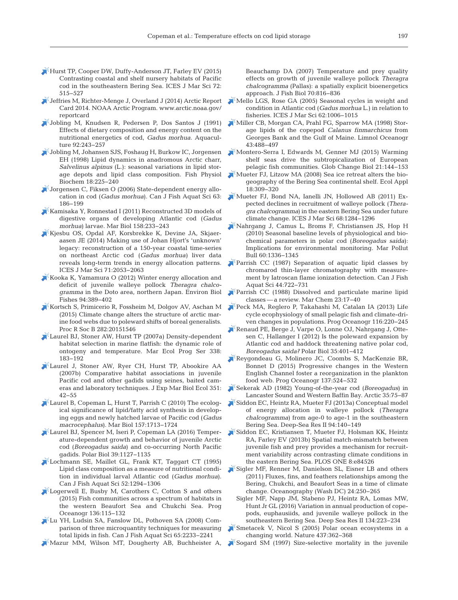- [Hurst TP, Cooper DW, Duffy-Anderson JT, Farley EV \(2015\)](https://doi.org/10.1093/icesjms/fsu141) Contrasting coastal and shelf nursery habitats of Pacific cod in the southeastern Bering Sea. ICES J Mar Sci 72: 515−527
- [Jeffries M, Richter-Menge J, Overland J \(2014\) Arctic Report](www.arctic.noaa.gov/reportcard) Card 2014. NOAA Arctic Program. www.arctic.noaa.gov/ reportcard
- [Jobling M, Knudsen R, Pedersen P, Dos Santos J \(1991\)](https://doi.org/10.1016/0044-8486(91)90026-4) Effects of dietary composition and energy content on the nutritional energetics of cod, *Gadus morhua.* Aquaculture 92:243-257
- [Jobling M, Johansen SJS, Foshaug H, Burkow IC, Jorgensen](https://doi.org/10.1023/A%3A1007747201521) EH (1998) Lipid dynamics in anadromous Arctic charr, *Salvelinus alpinus* (L.): seasonal variations in lipid storage depots and lipid class composition. Fish Physiol Biochem 18:225-240
- [Jorgensen C, Fiksen O \(2006\) State-dependent energy allo](https://doi.org/10.1139/f05-209)cation in cod (*Gadus morhua*). Can J Fish Aquat Sci 63: 186−199
- [Kamisaka Y, Ronnestad I \(2011\) Reconstructed 3D models of](https://doi.org/10.1007/s00227-010-1554-x) digestive organs of developing Atlantic cod (*Gadus morhua*) larvae. Mar Biol 158:233-243
- [Kjesbu OS, Opdal AF, Korsbrekke K, Devine JA, Skjaer](https://doi.org/10.1093/icesjms/fsu030)aasen JE (2014) Making use of Johan Hjort's 'unknown' legacy: reconstruction of a 150-year coastal time-series on northeast Arctic cod (*Gadus morhua)* liver data reveals long-term trends in energy allocation patterns. ICES J Mar Sci 71:2053-2063
- [Kooka K, Yamamura O \(2012\) Winter energy allocation and](https://doi.org/10.1007/s10641-011-9957-1) deficit of juvenile walleye pollock *Theragra chalco gramma* in the Doto area, northern Japan. Environ Biol Fishes 94: 389−402
- [Kortsch S, Primicerio R, Fossheim M, Dolgov AV, Aschan M](https://doi.org/10.1098/rspb.2015.1546) (2015) Climate change alters the structure of arctic marine food webs due to poleward shifts of boreal generalists. Proc R Soc B 282:20151546
- [Laurel BJ, Stoner AW, Hurst TP \(2007a\) Density-dependent](https://doi.org/10.3354/meps338183) habitat selection in marine flatfish: the dynamic role of ontogeny and temperature. Mar Ecol Prog Ser 338: 183−192
- [Laurel J, Stoner AW, Ryer CH, Hurst TP, Abookire AA](https://doi.org/10.1016/j.jembe.2007.06.005) (2007b) Comparative habitat associations in juvenile Pacific cod and other gadids using seines, baited cameras and laboratory techniques. J Exp Mar Biol Ecol 351: 42−55
- [Laurel B, Copeman L, Hurst T, Parrish C \(2010\) The ecolog](https://doi.org/10.1007/s00227-010-1445-1)ical significance of lipid/fatty acid synthesis in developing eggs and newly hatched larvae of Pacific cod (*Gadus macrocephalus*). Mar Biol 157: 1713−1724
- [Laurel BJ, Spencer M, Iseri P, Copeman LA \(2016\) Temper](https://doi.org/10.1007/s00300-015-1761-5)ature-dependent growth and behavior of juvenile Arctic cod (*Boreogadus saida*) and co-occurring North Pacific gadids. Polar Biol 39: 1127−1135
- [Lochmann SE, Maillet GL, Frank KT, Taggart CT \(1995\)](https://doi.org/10.1139/f95-126) Lipid class composition as a measure of nutritional condition in individual larval Atlantic cod (*Gadus morhua*). Can J Fish Aquat Sci 52: 1294−1306
- [Logerwell E, Busby M, Carothers C, Cotton S and others](https://doi.org/10.1016/j.pocean.2015.05.013) (2015) Fish communities across a spectrum of habitats in the western Beaufort Sea and Chukchi Sea. Prog Oceanogr 136: 115−132
- [Lu YH, Ludsin SA, Fanslow DL, Pothoven SA \(2008\) Com](https://doi.org/10.1139/F08-135)parison of three microquantity techniques for measuring total lipids in fish. Can J Fish Aquat Sci 65: 2233−2241
- [Mazur MM, Wilson MT, Dougherty AB, Buchheister A,](https://doi.org/10.1111/j.1095-8649.2007.01344.x)

Beauchamp DA (2007) Temperature and prey quality effects on growth of juvenile walleye pollock *Theragra chalcogramma* (Pallas):a spatially explicit bioenergetics approach. J Fish Biol 70: 816−836

- [Mello LGS, Rose GA \(2005\) Seasonal cycles in weight and](https://doi.org/10.1016/j.icesjms.2005.03.008) condition in Atlantic cod (*Gadus morhua* L.) in relation to fisheries. ICES J Mar Sci 62: 1006−1015
- [Miller CB, Morgan CA, Prahl FG, Sparrow MA \(1998\) Stor](https://doi.org/10.4319/lo.1998.43.3.0488)age lipids of the copepod *Calanus finmarchicus* from Georges Bank and the Gulf of Maine. Limnol Oceanogr 43: 488−497
- [Montero-Serra I, Edwards M, Genner MJ \(2015\) Warming](https://doi.org/10.1111/gcb.12747) shelf seas drive the subtropicalization of European pelagic fish communities. Glob Change Biol 21: 144−153
- $^{\zeta}$ [Mueter FJ, Litzow MA \(2008\) Sea ice retreat alters the bio](https://doi.org/10.1890/07-0564.1)geography of the Bering Sea continental shelf. Ecol Appl 18: 309−320
- Mueter FJ, Bond NA, Ianelli JN, Hollowed AB (2011) Expected declines in recruitment of walleye pollock (*Thera gra chalcogramma*) in the eastern Bering Sea under future climate change. ICES J Mar Sci 68: 1284−1296
- [Nahrgang J, Camus L, Broms F, Christiansen JS, Hop H](https://doi.org/10.1016/j.marpolbul.2010.03.004) (2010) Seasonal baseline levels of physiological and biochemical parameters in polar cod (*Boreogadus saida*): Implications for environmental monitoring. Mar Pollut Bull 60: 1336−1345
- [Parrish CC \(1987\) Separation of aquatic lipid classes by](https://doi.org/10.1139/f87-087) chromarod thin-layer chromatography with measurement by Iatroscan flame ionization detection. Can J Fish Aquat Sci 44: 722−731
- [Parrish CC \(1988\) Dissolved and particulate marine lipid](https://doi.org/10.1016/0304-4203(88)90020-5) classes — a review. Mar Chem 23: 17−40
- [Peck MA, Reglero P, Takahashi M, Catalan IA \(2013\) Life](https://doi.org/10.1016/j.pocean.2013.05.012) cycle ecophysiology of small pelagic fish and climate-driven changes in populations. Prog Oceanogr 116: 220−245
- [Renaud PE, Berge J, Varpe O, Lonne OJ, Nahrgang J, Otte](https://doi.org/10.1007/s00300-011-1085-z)sen C, Hallanger I (2012) Is the poleward expansion by Atlantic cod and haddock threatening native polar cod, *Boreogadus saida?* Polar Biol 35: 401−412
- [Reygondeau G, Molinero JC, Coombs S, MacKenzie BR,](https://doi.org/10.1016/j.pocean.2015.04.025) Bonnet D (2015) Progressive changes in the Western English Channel foster a reorganization in the plankton food web. Prog Oceanogr 137: 524−532
- [Sekerak AD \(1982\) Young-of-the-year cod \(](https://doi.org/10.14430/arctic2309)*Boreogadus*) in Lancaster Sound and Western Baffin Bay. Arctic 35: 75−87
- [Siddon EC, Heintz RA, Mueter FJ \(2013a\) Conceptual model](https://doi.org/10.1016/j.dsr2.2012.12.007) of energy allocation in walleye pollock (*Theragra chalcogramma*) from age-0 to age-1 in the southeastern Bering Sea. Deep-Sea Res II 94: 140−149
- [Siddon EC, Kristiansen T, Mueter FJ, Holsman KK, Heintz](http://www.ncbi.nlm.nih.gov/entrez/query.fcgi?cmd=Retrieve&db=PubMed&list_uids=24391963&dopt=Abstract) RA, Farley EV (2013b) Spatial match-mismatch between juvenile fish and prey provides a mechanism for recruitment variability across contrasting climate conditions in the eastern Bering Sea. PLOS ONE 8:e84526
- [Sigler MF, Renner M, Danielson SL, Eisner LB and others](https://doi.org/10.5670/oceanog.2011.77) (2011) Fluxes, fins, and feathers relationships among the Bering, Chukchi, and Beaufort Seas in a time of climate change. Oceanography (Wash DC) 24: 250−265
	- Sigler MF, Napp JM, Stabeno PJ, Heintz RA, Lomas MW, Hunt Jr GL (2016) Variation in annual production of copepods, euphausiids, and juvenile walleye pollock in the southeastern Bering Sea. Deep Sea Res II 134: 223−234
- [Smetacek V, Nicol S \(2005\) Polar ocean ecosystems in a](https://doi.org/10.1038/nature04161) changing world. Nature 437: 362−368
- [Sogard SM \(1997\) Size-selective mortality in the juvenile](https://doi.org/10.1111/j.1095-8649.2000.tb02083.x)